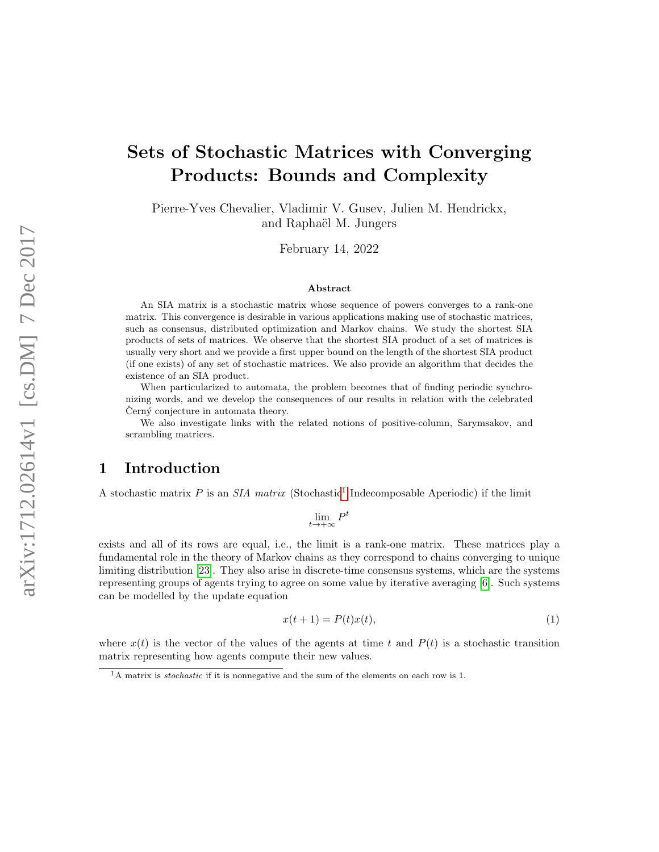# Sets of Stochastic Matrices with Converging Products: Bounds and Complexity

Pierre-Yves Chevalier, Vladimir V. Gusev, Julien M. Hendrickx, and Raphaël M. Jungers

February 14, 2022

#### Abstract

An SIA matrix is a stochastic matrix whose sequence of powers converges to a rank-one matrix. This convergence is desirable in various applications making use of stochastic matrices, such as consensus, distributed optimization and Markov chains. We study the shortest SIA products of sets of matrices. We observe that the shortest SIA product of a set of matrices is usually very short and we provide a first upper bound on the length of the shortest SIA product (if one exists) of any set of stochastic matrices. We also provide an algorithm that decides the existence of an SIA product.

When particularized to automata, the problem becomes that of finding periodic synchronizing words, and we develop the consequences of our results in relation with the celebrated Cerný conjecture in automata theory.

We also investigate links with the related notions of positive-column, Sarymsakov, and scrambling matrices.

# 1 Introduction

A stochastic matrix  $P$  is an SIA matrix (Stochastic<sup>[1](#page-0-0)</sup> Indecomposable Aperiodic) if the limit

$$
\lim_{t\to+\infty}P^t
$$

exists and all of its rows are equal, i.e., the limit is a rank-one matrix. These matrices play a fundamental role in the theory of Markov chains as they correspond to chains converging to unique limiting distribution [\[23\]](#page-17-0). They also arise in discrete-time consensus systems, which are the systems representing groups of agents trying to agree on some value by iterative averaging [\[6\]](#page-16-0). Such systems can be modelled by the update equation

<span id="page-0-1"></span>
$$
x(t+1) = P(t)x(t),\tag{1}
$$

where  $x(t)$  is the vector of the values of the agents at time t and  $P(t)$  is a stochastic transition matrix representing how agents compute their new values.

<span id="page-0-0"></span> $\overline{A_A}$  matrix is *stochastic* if it is nonnegative and the sum of the elements on each row is 1.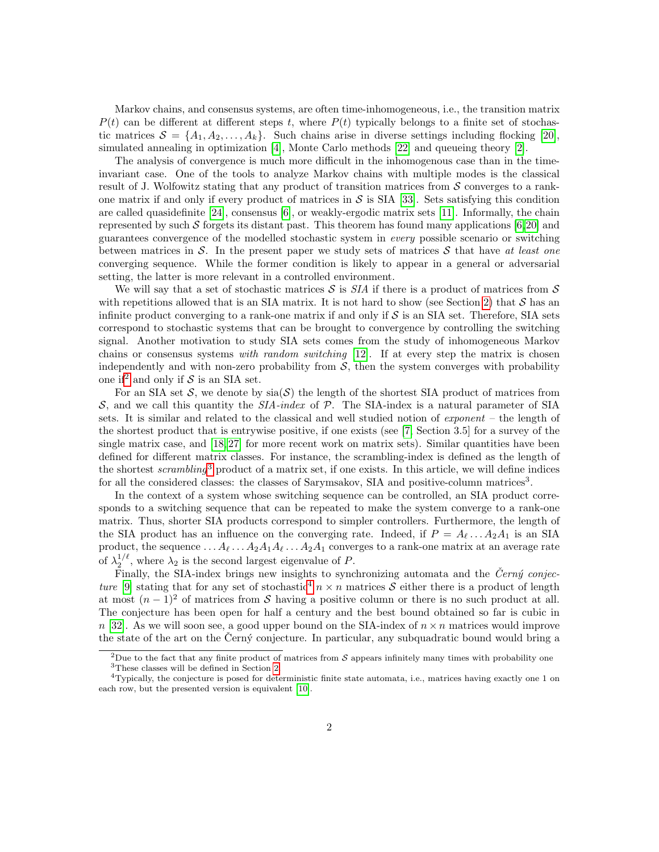Markov chains, and consensus systems, are often time-inhomogeneous, i.e., the transition matrix  $P(t)$  can be different at different steps t, where  $P(t)$  typically belongs to a finite set of stochastic matrices  $\mathcal{S} = \{A_1, A_2, \ldots, A_k\}$ . Such chains arise in diverse settings including flocking [\[20\]](#page-17-1), simulated annealing in optimization [\[4\]](#page-16-1), Monte Carlo methods [\[22\]](#page-17-2) and queueing theory [\[2\]](#page-16-2).

The analysis of convergence is much more difficult in the inhomogenous case than in the timeinvariant case. One of the tools to analyze Markov chains with multiple modes is the classical result of J. Wolfowitz stating that any product of transition matrices from  $S$  converges to a rankone matrix if and only if every product of matrices in  $\mathcal S$  is SIA [\[33\]](#page-18-0). Sets satisfying this condition are called quasidefinite [\[24\]](#page-17-3), consensus [\[6\]](#page-16-0), or weakly-ergodic matrix sets [\[11\]](#page-16-3). Informally, the chain represented by such S forgets its distant past. This theorem has found many applications  $[6,20]$  $[6,20]$  and guarantees convergence of the modelled stochastic system in every possible scenario or switching between matrices in S. In the present paper we study sets of matrices S that have at least one converging sequence. While the former condition is likely to appear in a general or adversarial setting, the latter is more relevant in a controlled environment.

We will say that a set of stochastic matrices  $\mathcal S$  is  $\mathcal SIA$  if there is a product of matrices from  $\mathcal S$ with repetitions allowed that is an SIA matrix. It is not hard to show (see Section [2\)](#page-2-0) that  $S$  has an infinite product converging to a rank-one matrix if and only if  $S$  is an SIA set. Therefore, SIA sets correspond to stochastic systems that can be brought to convergence by controlling the switching signal. Another motivation to study SIA sets comes from the study of inhomogeneous Markov chains or consensus systems with random switching  $[12]$ . If at every step the matrix is chosen independently and with non-zero probability from  $S$ , then the system converges with probability one if<sup>[2](#page-1-0)</sup> and only if  $S$  is an SIA set.

For an SIA set  $S$ , we denote by  $sia(S)$  the length of the shortest SIA product of matrices from S, and we call this quantity the  $SIA$ -index of P. The SIA-index is a natural parameter of SIA sets. It is similar and related to the classical and well studied notion of exponent – the length of the shortest product that is entrywise positive, if one exists (see [\[7,](#page-16-4) Section 3.5] for a survey of the single matrix case, and  $[18, 27]$  $[18, 27]$  for more recent work on matrix sets). Similar quantities have been defined for different matrix classes. For instance, the scrambling-index is defined as the length of the shortest scrambling<sup>[3](#page-1-1)</sup> product of a matrix set, if one exists. In this article, we will define indices for all the considered classes: the classes of Sarymsakov, SIA and positive-column matrices<sup>3</sup>.

In the context of a system whose switching sequence can be controlled, an SIA product corresponds to a switching sequence that can be repeated to make the system converge to a rank-one matrix. Thus, shorter SIA products correspond to simpler controllers. Furthermore, the length of the SIA product has an influence on the converging rate. Indeed, if  $P = A_{\ell} \dots A_2 A_1$  is an SIA product, the sequence ...  $A_\ell \dots A_2 A_1 A_\ell \dots A_2 A_1$  converges to a rank-one matrix at an average rate of  $\lambda_2^{1/\ell}$ , where  $\lambda_2$  is the second largest eigenvalue of P.

Finally, the SIA-index brings new insights to synchronizing automata and the  $\check{C}ern\check{y}$  conjec-ture [\[9\]](#page-16-5) stating that for any set of stochastic<sup>[4](#page-1-2)</sup>  $n \times n$  matrices S either there is a product of length at most  $(n-1)^2$  of matrices from S having a positive column or there is no such product at all. The conjecture has been open for half a century and the best bound obtained so far is cubic in  $n$  [\[32\]](#page-18-1). As we will soon see, a good upper bound on the SIA-index of  $n \times n$  matrices would improve the state of the art on the Cerný conjecture. In particular, any subquadratic bound would bring a

<span id="page-1-1"></span><span id="page-1-0"></span><sup>&</sup>lt;sup>2</sup>Due to the fact that any finite product of matrices from  $S$  appears infinitely many times with probability one <sup>3</sup>These classes will be defined in Section [2.](#page-2-0)

<span id="page-1-2"></span><sup>4</sup>Typically, the conjecture is posed for deterministic finite state automata, i.e., matrices having exactly one 1 on each row, but the presented version is equivalent [\[10\]](#page-16-6).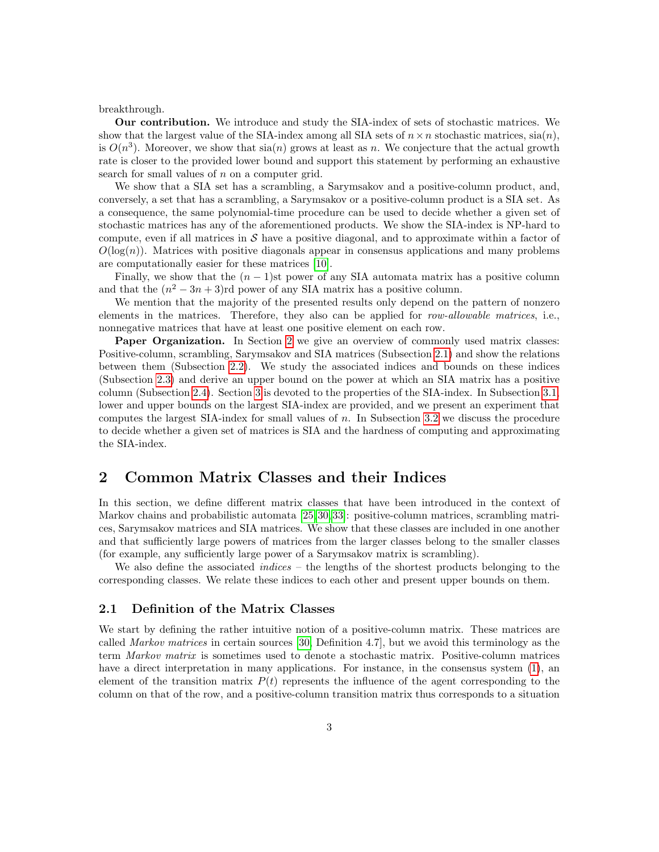breakthrough.

Our contribution. We introduce and study the SIA-index of sets of stochastic matrices. We show that the largest value of the SIA-index among all SIA sets of  $n \times n$  stochastic matrices,  $\operatorname{sin}(n)$ , is  $O(n^3)$ . Moreover, we show that  $sia(n)$  grows at least as n. We conjecture that the actual growth rate is closer to the provided lower bound and support this statement by performing an exhaustive search for small values of  $n$  on a computer grid.

We show that a SIA set has a scrambling, a Sarymsakov and a positive-column product, and, conversely, a set that has a scrambling, a Sarymsakov or a positive-column product is a SIA set. As a consequence, the same polynomial-time procedure can be used to decide whether a given set of stochastic matrices has any of the aforementioned products. We show the SIA-index is NP-hard to compute, even if all matrices in  $\mathcal S$  have a positive diagonal, and to approximate within a factor of  $O(log(n))$ . Matrices with positive diagonals appear in consensus applications and many problems are computationally easier for these matrices [\[10\]](#page-16-6).

Finally, we show that the  $(n - 1)$ st power of any SIA automata matrix has a positive column and that the  $(n^2 - 3n + 3)$ rd power of any SIA matrix has a positive column.

We mention that the majority of the presented results only depend on the pattern of nonzero elements in the matrices. Therefore, they also can be applied for row-allowable matrices, i.e., nonnegative matrices that have at least one positive element on each row.

Paper Organization. In Section [2](#page-2-0) we give an overview of commonly used matrix classes: Positive-column, scrambling, Sarymsakov and SIA matrices (Subsection [2.1\)](#page-2-1) and show the relations between them (Subsection [2.2\)](#page-4-0). We study the associated indices and bounds on these indices (Subsection [2.3\)](#page-5-0) and derive an upper bound on the power at which an SIA matrix has a positive column (Subsection [2.4\)](#page-6-0). Section [3](#page-9-0) is devoted to the properties of the SIA-index. In Subsection [3.1,](#page-10-0) lower and upper bounds on the largest SIA-index are provided, and we present an experiment that computes the largest SIA-index for small values of n. In Subsection [3.2](#page-14-0) we discuss the procedure to decide whether a given set of matrices is SIA and the hardness of computing and approximating the SIA-index.

# <span id="page-2-0"></span>2 Common Matrix Classes and their Indices

In this section, we define different matrix classes that have been introduced in the context of Markov chains and probabilistic automata [\[25,](#page-17-7) [30,](#page-18-2) [33\]](#page-18-0): positive-column matrices, scrambling matrices, Sarymsakov matrices and SIA matrices. We show that these classes are included in one another and that sufficiently large powers of matrices from the larger classes belong to the smaller classes (for example, any sufficiently large power of a Sarymsakov matrix is scrambling).

We also define the associated *indices* – the lengths of the shortest products belonging to the corresponding classes. We relate these indices to each other and present upper bounds on them.

### <span id="page-2-1"></span>2.1 Definition of the Matrix Classes

We start by defining the rather intuitive notion of a positive-column matrix. These matrices are called Markov matrices in certain sources [\[30,](#page-18-2) Definition 4.7], but we avoid this terminology as the term Markov matrix is sometimes used to denote a stochastic matrix. Positive-column matrices have a direct interpretation in many applications. For instance, in the consensus system  $(1)$ , an element of the transition matrix  $P(t)$  represents the influence of the agent corresponding to the column on that of the row, and a positive-column transition matrix thus corresponds to a situation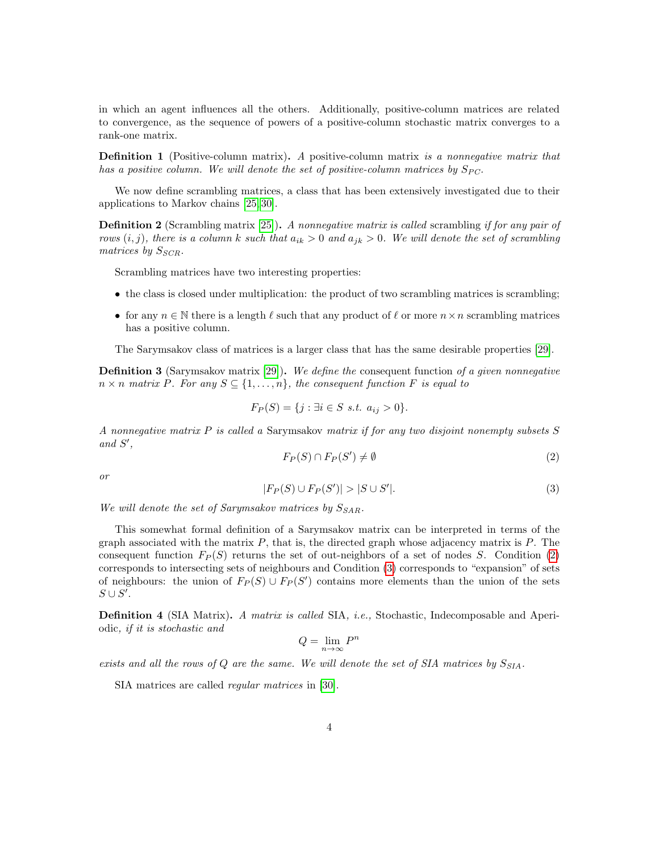in which an agent influences all the others. Additionally, positive-column matrices are related to convergence, as the sequence of powers of a positive-column stochastic matrix converges to a rank-one matrix.

**Definition 1** (Positive-column matrix). A positive-column matrix is a nonnegative matrix that has a positive column. We will denote the set of positive-column matrices by  $S_{PC}$ .

We now define scrambling matrices, a class that has been extensively investigated due to their applications to Markov chains [\[25,](#page-17-7) [30\]](#page-18-2).

**Definition 2** (Scrambling matrix [\[25\]](#page-17-7)). A nonnegative matrix is called scrambling if for any pair of rows  $(i, j)$ , there is a column k such that  $a_{ik} > 0$  and  $a_{ik} > 0$ . We will denote the set of scrambling matrices by  $S_{SCR}$ .

Scrambling matrices have two interesting properties:

- the class is closed under multiplication: the product of two scrambling matrices is scrambling;
- for any  $n \in \mathbb{N}$  there is a length  $\ell$  such that any product of  $\ell$  or more  $n \times n$  scrambling matrices has a positive column.

The Sarymsakov class of matrices is a larger class that has the same desirable properties [\[29\]](#page-17-8).

**Definition 3** (Sarymsakov matrix [\[29\]](#page-17-8)). We define the consequent function of a given nonnegative  $n \times n$  matrix P. For any  $S \subseteq \{1, \ldots, n\}$ , the consequent function F is equal to

$$
F_P(S) = \{ j : \exists i \in S \ s.t. \ a_{ij} > 0 \}.
$$

A nonnegative matrix P is called a Sarymsakov matrix if for any two disjoint nonempty subsets S and  $S'$ ,

<span id="page-3-0"></span>
$$
F_P(S) \cap F_P(S') \neq \emptyset \tag{2}
$$

or

<span id="page-3-1"></span>
$$
|F_P(S) \cup F_P(S')| > |S \cup S'|.
$$
 (3)

We will denote the set of Sarymsakov matrices by  $S_{SAR}$ .

This somewhat formal definition of a Sarymsakov matrix can be interpreted in terms of the graph associated with the matrix  $P$ , that is, the directed graph whose adjacency matrix is  $P$ . The consequent function  $F_P(S)$  returns the set of out-neighbors of a set of nodes S. Condition [\(2\)](#page-3-0) corresponds to intersecting sets of neighbours and Condition [\(3\)](#page-3-1) corresponds to "expansion" of sets of neighbours: the union of  $F_P(S) \cup F_P(S')$  contains more elements than the union of the sets  $S \cup S'.$ 

**Definition 4** (SIA Matrix). A matrix is called SIA, *i.e.*, Stochastic, Indecomposable and Aperiodic, if it is stochastic and

$$
Q = \lim_{n \to \infty} P^n
$$

exists and all the rows of Q are the same. We will denote the set of SIA matrices by  $S_{SIA}$ .

SIA matrices are called regular matrices in [\[30\]](#page-18-2).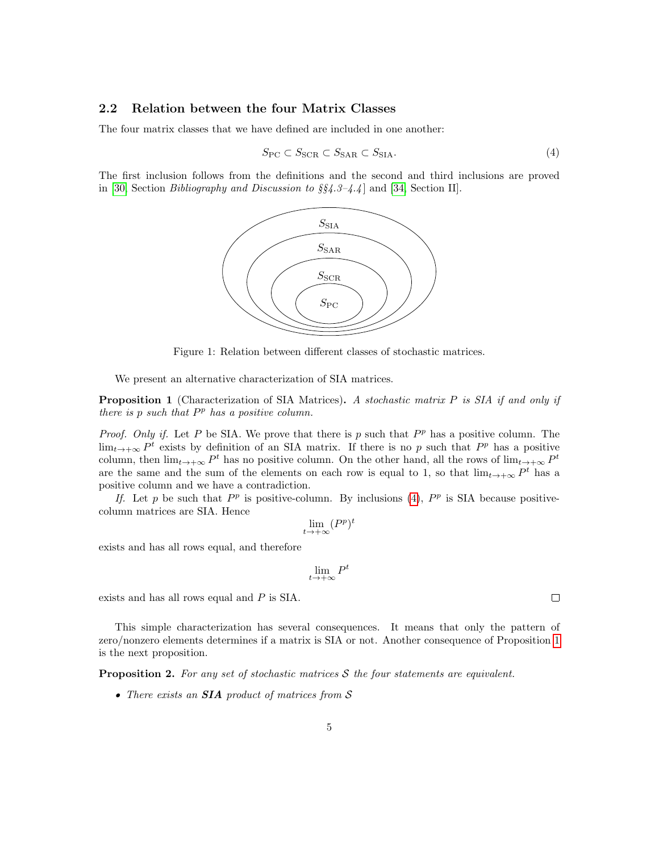### <span id="page-4-0"></span>2.2 Relation between the four Matrix Classes

The four matrix classes that we have defined are included in one another:

<span id="page-4-1"></span>
$$
S_{\rm PC} \subset S_{\rm SCR} \subset S_{\rm SAR} \subset S_{\rm SIA}.\tag{4}
$$

The first inclusion follows from the definitions and the second and third inclusions are proved in [\[30,](#page-18-2) Section Bibliography and Discussion to §§4.3–4.4 ] and [\[34,](#page-18-3) Section II].



Figure 1: Relation between different classes of stochastic matrices.

We present an alternative characterization of SIA matrices.

<span id="page-4-2"></span>**Proposition 1** (Characterization of SIA Matrices). A stochastic matrix  $P$  is SIA if and only if there is  $p$  such that  $P<sup>p</sup>$  has a positive column.

*Proof.* Only if. Let P be SIA. We prove that there is p such that  $P<sup>p</sup>$  has a positive column. The  $\lim_{t\to+\infty} P^t$  exists by definition of an SIA matrix. If there is no p such that  $P^p$  has a positive column, then  $\lim_{t\to+\infty} P^t$  has no positive column. On the other hand, all the rows of  $\lim_{t\to+\infty} P^t$ are the same and the sum of the elements on each row is equal to 1, so that  $\lim_{t\to+\infty} P^t$  has a positive column and we have a contradiction.

If. Let p be such that  $P^p$  is positive-column. By inclusions [\(4\)](#page-4-1),  $P^p$  is SIA because positivecolumn matrices are SIA. Hence

$$
\lim_{t \to +\infty} (P^p)^t
$$

exists and has all rows equal, and therefore

$$
\lim_{t\to+\infty}P^t
$$

exists and has all rows equal and P is SIA.

This simple characterization has several consequences. It means that only the pattern of zero/nonzero elements determines if a matrix is SIA or not. Another consequence of Proposition [1](#page-4-2) is the next proposition.

<span id="page-4-3"></span>**Proposition 2.** For any set of stochastic matrices  $S$  the four statements are equivalent.

• There exists an **SIA** product of matrices from S

 $\Box$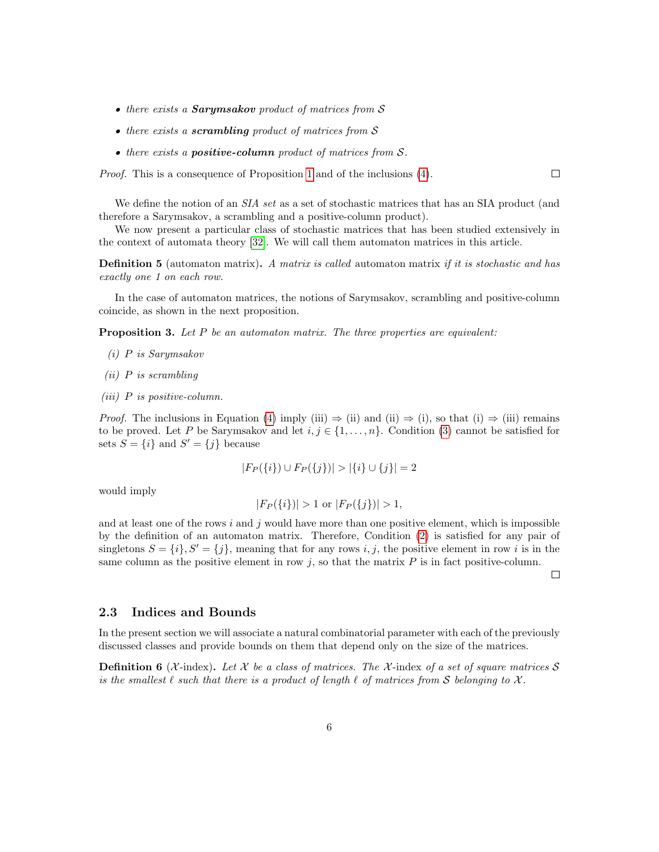- there exists a **Sarymsakov** product of matrices from S
- there exists a **scrambling** product of matrices from S
- $\bullet$  there exists a **positive-column** product of matrices from  $\mathcal{S}.$

Proof. This is a consequence of Proposition [1](#page-4-2) and of the inclusions [\(4\)](#page-4-1).

We define the notion of an *SIA set* as a set of stochastic matrices that has an SIA product (and therefore a Sarymsakov, a scrambling and a positive-column product).

We now present a particular class of stochastic matrices that has been studied extensively in the context of automata theory [\[32\]](#page-18-1). We will call them automaton matrices in this article.

**Definition 5** (automaton matrix). A matrix is called automaton matrix if it is stochastic and has exactly one 1 on each row.

In the case of automaton matrices, the notions of Sarymsakov, scrambling and positive-column coincide, as shown in the next proposition.

**Proposition 3.** Let  $P$  be an automaton matrix. The three properties are equivalent:

- (i) P is Sarymsakov
- (ii) P is scrambling
- <span id="page-5-1"></span>(iii)  $P$  is positive-column.

*Proof.* The inclusions in Equation [\(4\)](#page-4-1) imply (iii)  $\Rightarrow$  (ii) and (ii)  $\Rightarrow$  (i), so that (i)  $\Rightarrow$  (iii) remains to be proved. Let P be Sarymsakov and let  $i, j \in \{1, ..., n\}$ . Condition [\(3\)](#page-3-1) cannot be satisfied for sets  $S = \{i\}$  and  $S' = \{j\}$  because

$$
|F_P(\{i\}) \cup F_P(\{j\})| > |\{i\} \cup \{j\}| = 2
$$

would imply

$$
|F_P(\{i\})| > 1 \text{ or } |F_P(\{j\})| > 1,
$$

and at least one of the rows  $i$  and  $j$  would have more than one positive element, which is impossible by the definition of an automaton matrix. Therefore, Condition [\(2\)](#page-3-0) is satisfied for any pair of singletons  $S = \{i\}, S' = \{j\}$ , meaning that for any rows i, j, the positive element in row i is in the same column as the positive element in row  $j$ , so that the matrix  $P$  is in fact positive-column.

 $\Box$ 

 $\Box$ 

#### <span id="page-5-0"></span>2.3 Indices and Bounds

In the present section we will associate a natural combinatorial parameter with each of the previously discussed classes and provide bounds on them that depend only on the size of the matrices.

**Definition 6** (X-index). Let X be a class of matrices. The X-index of a set of square matrices S is the smallest  $\ell$  such that there is a product of length  $\ell$  of matrices from S belonging to X.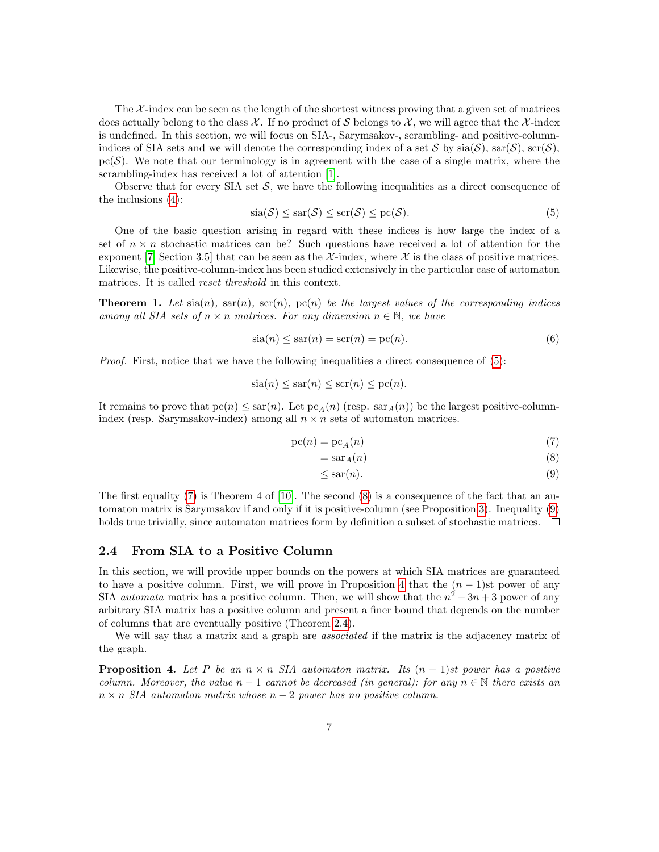The  $\mathcal{X}$ -index can be seen as the length of the shortest witness proving that a given set of matrices does actually belong to the class  $\mathcal{X}$ . If no product of S belongs to  $\mathcal{X}$ , we will agree that the X-index is undefined. In this section, we will focus on SIA-, Sarymsakov-, scrambling- and positive-columnindices of SIA sets and we will denote the corresponding index of a set S by  $\operatorname{si}(S)$ ,  $\operatorname{sat}(S)$ ,  $\operatorname{sat}(S)$ ,  $pc(S)$ . We note that our terminology is in agreement with the case of a single matrix, where the scrambling-index has received a lot of attention [\[1\]](#page-16-7).

Observe that for every SIA set  $S$ , we have the following inequalities as a direct consequence of the inclusions [\(4\)](#page-4-1):

<span id="page-6-1"></span>
$$
\operatorname{sia}(\mathcal{S}) \le \operatorname{sar}(\mathcal{S}) \le \operatorname{scr}(\mathcal{S}) \le \operatorname{pc}(\mathcal{S}).\tag{5}
$$

One of the basic question arising in regard with these indices is how large the index of a set of  $n \times n$  stochastic matrices can be? Such questions have received a lot of attention for the exponent [\[7,](#page-16-4) Section 3.5] that can be seen as the  $\mathcal{X}$ -index, where  $\mathcal{X}$  is the class of positive matrices. Likewise, the positive-column-index has been studied extensively in the particular case of automaton matrices. It is called reset threshold in this context.

**Theorem 1.** Let  $\text{sin}(n)$ ,  $\text{sin}(n)$ ,  $\text{sc}(n)$ ,  $\text{pc}(n)$  be the largest values of the corresponding indices among all SIA sets of  $n \times n$  matrices. For any dimension  $n \in \mathbb{N}$ , we have

<span id="page-6-6"></span>
$$
\operatorname{sia}(n) \le \operatorname{sar}(n) = \operatorname{scr}(n) = \operatorname{pc}(n). \tag{6}
$$

Proof. First, notice that we have the following inequalities a direct consequence of [\(5\)](#page-6-1):

$$
sia(n) \leq sar(n) \leq scr(n) \leq pc(n).
$$

It remains to prove that  $pc(n) \leq \text{sar}(n)$ . Let  $pc_A(n)$  (resp.  $\text{sar}_A(n)$ ) be the largest positive-columnindex (resp. Sarymsakov-index) among all  $n \times n$  sets of automaton matrices.

$$
pc(n) = pc_A(n) \tag{7}
$$

$$
= \text{sar}_A(n) \tag{8}
$$

<span id="page-6-4"></span><span id="page-6-3"></span><span id="page-6-2"></span>
$$
\leq \operatorname{sar}(n). \tag{9}
$$

The first equality [\(7\)](#page-6-2) is Theorem 4 of [\[10\]](#page-16-6). The second [\(8\)](#page-6-3) is a consequence of the fact that an automaton matrix is Sarymsakov if and only if it is positive-column (see Proposition [3\)](#page-5-1). Inequality [\(9\)](#page-6-4) holds true trivially, since automaton matrices form by definition a subset of stochastic matrices.  $\Box$ 

### <span id="page-6-0"></span>2.4 From SIA to a Positive Column

In this section, we will provide upper bounds on the powers at which SIA matrices are guaranteed to have a positive column. First, we will prove in Proposition [4](#page-6-5) that the  $(n - 1)$ st power of any SIA *automata* matrix has a positive column. Then, we will show that the  $n^2 - 3n + 3$  power of any arbitrary SIA matrix has a positive column and present a finer bound that depends on the number of columns that are eventually positive (Theorem [2.4\)](#page-8-0).

We will say that a matrix and a graph are associated if the matrix is the adjacency matrix of the graph.

<span id="page-6-5"></span>**Proposition 4.** Let P be an  $n \times n$  SIA automaton matrix. Its  $(n - 1)$ st power has a positive column. Moreover, the value  $n-1$  cannot be decreased (in general): for any  $n \in \mathbb{N}$  there exists an  $n \times n$  SIA automaton matrix whose  $n-2$  power has no positive column.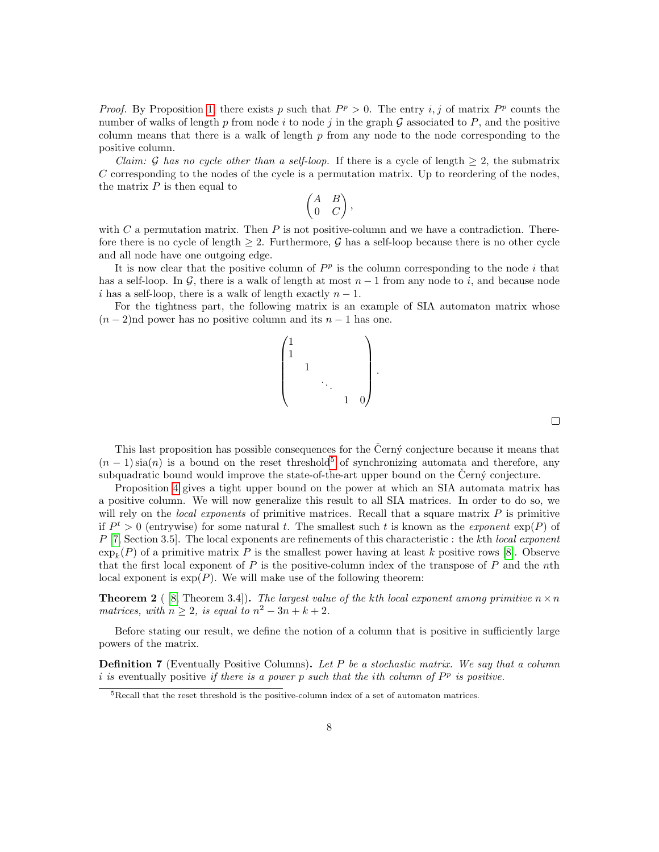*Proof.* By Proposition [1,](#page-4-2) there exists p such that  $P^p > 0$ . The entry i, j of matrix  $P^p$  counts the number of walks of length p from node i to node j in the graph  $\mathcal G$  associated to P, and the positive column means that there is a walk of length  $p$  from any node to the node corresponding to the positive column.

*Claim:* G has no cycle other than a self-loop. If there is a cycle of length  $\geq 2$ , the submatrix  $C$  corresponding to the nodes of the cycle is a permutation matrix. Up to reordering of the nodes, the matrix  $P$  is then equal to

$$
\begin{pmatrix} A & B \\ 0 & C \end{pmatrix},
$$

with C a permutation matrix. Then P is not positive-column and we have a contradiction. Therefore there is no cycle of length  $\geq 2$ . Furthermore, G has a self-loop because there is no other cycle and all node have one outgoing edge.

It is now clear that the positive column of  $P<sup>p</sup>$  is the column corresponding to the node i that has a self-loop. In G, there is a walk of length at most  $n-1$  from any node to i, and because node i has a self-loop, there is a walk of length exactly  $n-1$ .

For the tightness part, the following matrix is an example of SIA automaton matrix whose  $(n-2)$ nd power has no positive column and its  $n-1$  has one.



 $\Box$ 

This last proposition has possible consequences for the Černý conjecture because it means that  $(n-1)\sin(n)$  is a bound on the reset threshold<sup>[5](#page-7-0)</sup> of synchronizing automata and therefore, any subquadratic bound would improve the state-of-the-art upper bound on the Čern $\acute{v}$  conjecture.

Proposition [4](#page-6-5) gives a tight upper bound on the power at which an SIA automata matrix has a positive column. We will now generalize this result to all SIA matrices. In order to do so, we will rely on the *local exponents* of primitive matrices. Recall that a square matrix  $P$  is primitive if  $P^t > 0$  (entrywise) for some natural t. The smallest such t is known as the exponent  $\exp(P)$  of  $P$  [\[7,](#page-16-4) Section 3.5]. The local exponents are refinements of this characteristic : the kth local exponent  $\exp_k(P)$  of a primitive matrix P is the smallest power having at least k positive rows [\[8\]](#page-16-8). Observe that the first local exponent of  $P$  is the positive-column index of the transpose of  $P$  and the nth local exponent is  $\exp(P)$ . We will make use of the following theorem:

<span id="page-7-1"></span>**Theorem 2** ([\[8,](#page-16-8) Theorem 3.4]). The largest value of the kth local exponent among primitive  $n \times n$ matrices, with  $n \geq 2$ , is equal to  $n^2 - 3n + k + 2$ .

Before stating our result, we define the notion of a column that is positive in sufficiently large powers of the matrix.

**Definition 7** (Eventually Positive Columns). Let P be a stochastic matrix. We say that a column i is eventually positive if there is a power p such that the ith column of  $P^p$  is positive.

<span id="page-7-0"></span><sup>5</sup>Recall that the reset threshold is the positive-column index of a set of automaton matrices.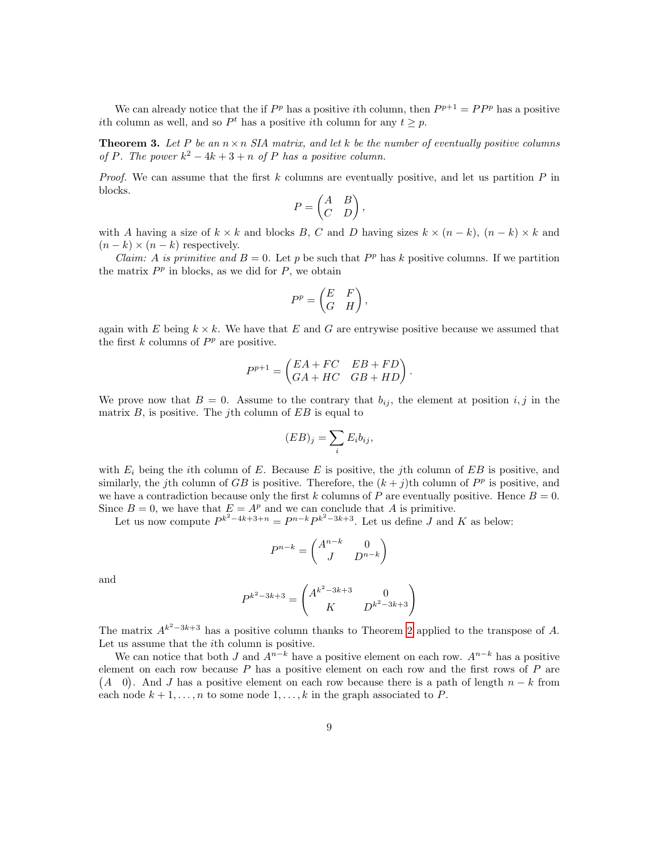We can already notice that the if  $P^p$  has a positive *i*th column, then  $P^{p+1} = P P^p$  has a positive ith column as well, and so  $P<sup>t</sup>$  has a positive ith column for any  $t \geq p$ .

<span id="page-8-0"></span>**Theorem 3.** Let P be an  $n \times n$  SIA matrix, and let k be the number of eventually positive columns of P. The power  $k^2 - 4k + 3 + n$  of P has a positive column.

*Proof.* We can assume that the first  $k$  columns are eventually positive, and let us partition  $P$  in blocks.

$$
P = \begin{pmatrix} A & B \\ C & D \end{pmatrix},
$$

with A having a size of  $k \times k$  and blocks B, C and D having sizes  $k \times (n - k)$ ,  $(n - k) \times k$  and  $(n-k) \times (n-k)$  respectively.

*Claim:* A is primitive and  $B = 0$ . Let p be such that  $P<sup>p</sup>$  has k positive columns. If we partition the matrix  $P<sup>p</sup>$  in blocks, as we did for  $P$ , we obtain

$$
P^p = \begin{pmatrix} E & F \\ G & H \end{pmatrix},
$$

again with E being  $k \times k$ . We have that E and G are entrywise positive because we assumed that the first  $k$  columns of  $P<sup>p</sup>$  are positive.

$$
P^{p+1} = \begin{pmatrix} EA + FC & EB + FD \\ GA + HC & GB + HD \end{pmatrix}.
$$

We prove now that  $B = 0$ . Assume to the contrary that  $b_{ij}$ , the element at position i, j in the matrix  $B$ , is positive. The *j*th column of  $EB$  is equal to

$$
(EB)_j = \sum_i E_i b_{ij},
$$

with  $E_i$  being the *i*th column of E. Because E is positive, the *j*th column of EB is positive, and similarly, the jth column of GB is positive. Therefore, the  $(k + j)$ th column of  $P<sup>p</sup>$  is positive, and we have a contradiction because only the first k columns of P are eventually positive. Hence  $B = 0$ . Since  $B = 0$ , we have that  $E = A^p$  and we can conclude that A is primitive.

Let us now compute  $P^{k^2-4k+3+n} = P^{n-k}P^{k^2-3k+3}$ . Let us define J and K as below:

$$
P^{n-k} = \begin{pmatrix} A^{n-k} & 0 \\ J & D^{n-k} \end{pmatrix}
$$

and

$$
P^{k^2 - 3k + 3} = \begin{pmatrix} A^{k^2 - 3k + 3} & 0 \\ K & D^{k^2 - 3k + 3} \end{pmatrix}
$$

The matrix  $A^{k^2-3k+3}$  has a positive column thanks to Theorem [2](#page-7-1) applied to the transpose of A. Let us assume that the ith column is positive.

We can notice that both J and  $A^{n-k}$  have a positive element on each row.  $A^{n-k}$  has a positive element on each row because  $P$  has a positive element on each row and the first rows of  $P$  are  $(A \ 0)$ . And J has a positive element on each row because there is a path of length  $n - k$  from each node  $k + 1, \ldots, n$  to some node  $1, \ldots, k$  in the graph associated to P.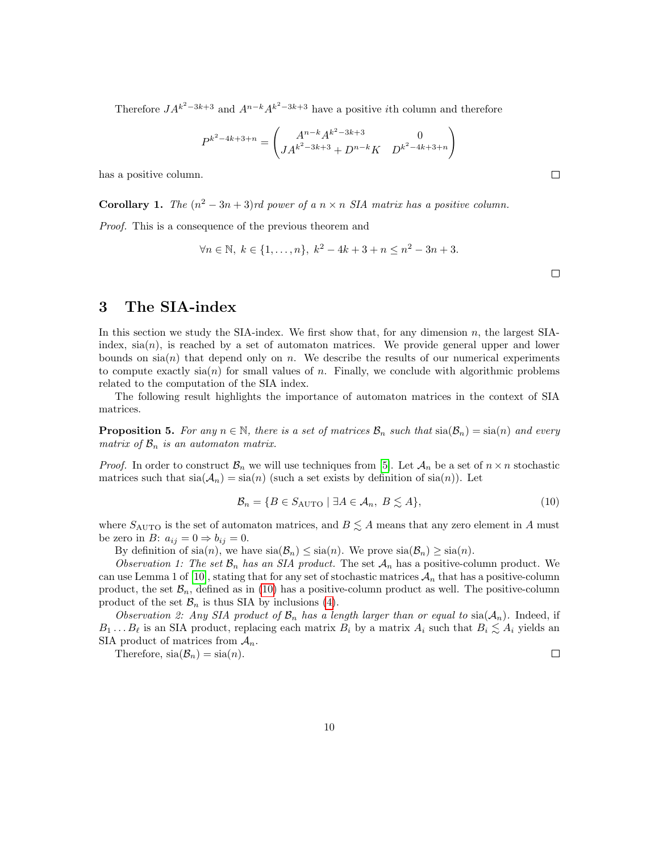Therefore  $JA^{k^2-3k+3}$  and  $A^{n-k}A^{k^2-3k+3}$  have a positive *i*th column and therefore

$$
P^{k^2 - 4k + 3 + n} = \begin{pmatrix} A^{n-k} A^{k^2 - 3k + 3} & 0 \\ JA^{k^2 - 3k + 3} + D^{n-k} K & D^{k^2 - 4k + 3 + n} \end{pmatrix}
$$

has a positive column.

**Corollary 1.** The  $(n^2 - 3n + 3)$ rd power of a  $n \times n$  SIA matrix has a positive column.

Proof. This is a consequence of the previous theorem and

$$
\forall n \in \mathbb{N}, \ k \in \{1, \dots, n\}, \ k^2 - 4k + 3 + n \le n^2 - 3n + 3.
$$

 $\Box$ 

 $\Box$ 

# <span id="page-9-0"></span>3 The SIA-index

In this section we study the SIA-index. We first show that, for any dimension  $n$ , the largest SIAindex,  $\operatorname{sin}(n)$ , is reached by a set of automaton matrices. We provide general upper and lower bounds on  $sia(n)$  that depend only on n. We describe the results of our numerical experiments to compute exactly  $\operatorname{si}(n)$  for small values of n. Finally, we conclude with algorithmic problems related to the computation of the SIA index.

The following result highlights the importance of automaton matrices in the context of SIA matrices.

**Proposition 5.** For any  $n \in \mathbb{N}$ , there is a set of matrices  $\mathcal{B}_n$  such that  $\text{sin}(\mathcal{B}_n) = \text{sin}(n)$  and every matrix of  $\mathcal{B}_n$  is an automaton matrix.

*Proof.* In order to construct  $\mathcal{B}_n$  we will use techniques from [\[5\]](#page-16-9). Let  $\mathcal{A}_n$  be a set of  $n \times n$  stochastic matrices such that  $sia(\mathcal{A}_n) = sia(n)$  (such a set exists by definition of  $sia(n)$ ). Let

<span id="page-9-1"></span>
$$
\mathcal{B}_n = \{ B \in S_{\text{AUTO}} \mid \exists A \in \mathcal{A}_n, B \lesssim A \},\tag{10}
$$

where  $S_{\text{AUTO}}$  is the set of automaton matrices, and  $B \lesssim A$  means that any zero element in A must be zero in B:  $a_{ij} = 0 \Rightarrow b_{ij} = 0$ .

By definition of  $sia(n)$ , we have  $sia(\mathcal{B}_n) \leq sia(n)$ . We prove  $sia(\mathcal{B}_n) \geq sia(n)$ .

Observation 1: The set  $\mathcal{B}_n$  has an SIA product. The set  $\mathcal{A}_n$  has a positive-column product. We can use Lemma 1 of [\[10\]](#page-16-6), stating that for any set of stochastic matrices  $\mathcal{A}_n$  that has a positive-column product, the set  $\mathcal{B}_n$ , defined as in [\(10\)](#page-9-1) has a positive-column product as well. The positive-column product of the set  $\mathcal{B}_n$  is thus SIA by inclusions [\(4\)](#page-4-1).

Observation 2: Any SIA product of  $\mathcal{B}_n$  has a length larger than or equal to  $\text{si}(A_n)$ . Indeed, if  $B_1 \ldots B_\ell$  is an SIA product, replacing each matrix  $B_i$  by a matrix  $A_i$  such that  $B_i \lesssim A_i$  yields an SIA product of matrices from  $A_n$ .

Therefore,  $sia(\mathcal{B}_n) = sia(n)$ .

 $\Box$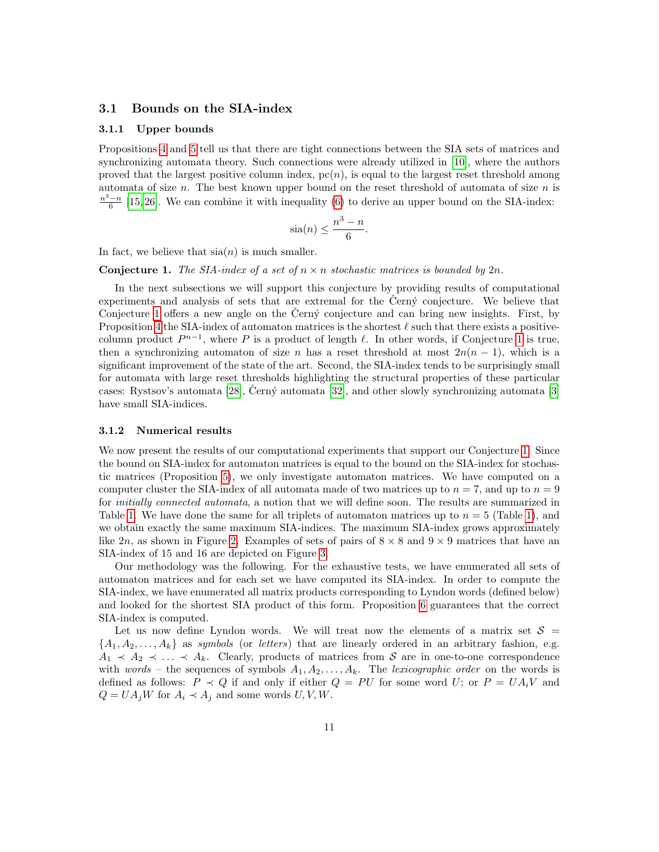### <span id="page-10-0"></span>3.1 Bounds on the SIA-index

#### 3.1.1 Upper bounds

Propositions [4](#page-6-5) and [5](#page-9-1) tell us that there are tight connections between the SIA sets of matrices and synchronizing automata theory. Such connections were already utilized in [\[10\]](#page-16-6), where the authors proved that the largest positive column index,  $pc(n)$ , is equal to the largest reset threshold among automata of size  $n$ . The best known upper bound on the reset threshold of automata of size  $n$  is  $\frac{n^3-n}{6}$  [\[15,](#page-17-9) [26\]](#page-17-10). We can combine it with inequality [\(6\)](#page-6-6) to derive an upper bound on the SIA-index:

$$
\operatorname{sia}(n) \le \frac{n^3 - n}{6}.
$$

In fact, we believe that  $sia(n)$  is much smaller.

<span id="page-10-1"></span>**Conjecture 1.** The SIA-index of a set of  $n \times n$  stochastic matrices is bounded by  $2n$ .

In the next subsections we will support this conjecture by providing results of computational experiments and analysis of sets that are extremal for the Cern $\acute{v}$  conjecture. We believe that Conjecture [1](#page-10-1) offers a new angle on the Cern $\acute{y}$  conjecture and can bring new insights. First, by Proposition [4](#page-6-5) the SIA-index of automaton matrices is the shortest  $\ell$  such that there exists a positivecolumn product  $P^{n-1}$ , where P is a product of length  $\ell$ . In other words, if Conjecture [1](#page-10-1) is true, then a synchronizing automaton of size n has a reset threshold at most  $2n(n - 1)$ , which is a significant improvement of the state of the art. Second, the SIA-index tends to be surprisingly small for automata with large reset thresholds highlighting the structural properties of these particular cases: Rystsov's automata  $[28]$ , Cerný automata  $[32]$ , and other slowly synchronizing automata  $[3]$ have small SIA-indices.

#### 3.1.2 Numerical results

We now present the results of our computational experiments that support our Conjecture [1.](#page-10-1) Since the bound on SIA-index for automaton matrices is equal to the bound on the SIA-index for stochastic matrices (Proposition [5\)](#page-9-1), we only investigate automaton matrices. We have computed on a computer cluster the SIA-index of all automata made of two matrices up to  $n = 7$ , and up to  $n = 9$ for *initially connected automata*, a notion that we will define soon. The results are summarized in Table [1.](#page-11-0) We have done the same for all triplets of automaton matrices up to  $n = 5$  (Table [1\)](#page-11-0), and we obtain exactly the same maximum SIA-indices. The maximum SIA-index grows approximately like  $2n$ , as shown in Figure [2.](#page-11-1) Examples of sets of pairs of  $8 \times 8$  and  $9 \times 9$  matrices that have an SIA-index of 15 and 16 are depicted on Figure [3.](#page-12-0)

Our methodology was the following. For the exhaustive tests, we have enumerated all sets of automaton matrices and for each set we have computed its SIA-index. In order to compute the SIA-index, we have enumerated all matrix products corresponding to Lyndon words (defined below) and looked for the shortest SIA product of this form. Proposition [6](#page-11-2) guarantees that the correct SIA-index is computed.

Let us now define Lyndon words. We will treat now the elements of a matrix set  $S =$  $\{A_1, A_2, \ldots, A_k\}$  as symbols (or letters) that are linearly ordered in an arbitrary fashion, e.g.  $A_1 \prec A_2 \prec \ldots \prec A_k$ . Clearly, products of matrices from S are in one-to-one correspondence with words – the sequences of symbols  $A_1, A_2, \ldots, A_k$ . The lexicographic order on the words is defined as follows:  $P \prec Q$  if and only if either  $Q = PU$  for some word U; or  $P = UA_iV$  and  $Q = UA_jW$  for  $A_i \prec A_j$  and some words  $U, V, W$ .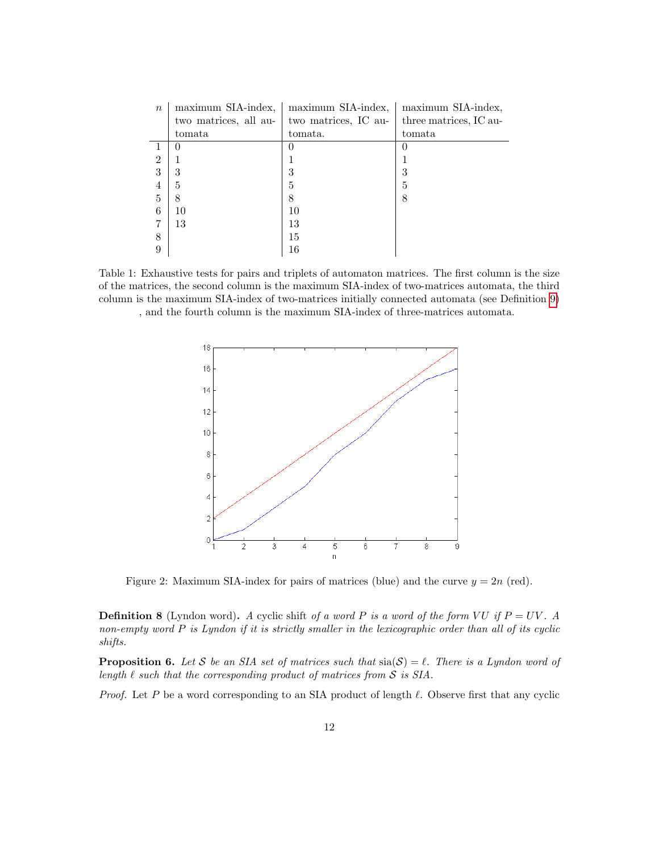<span id="page-11-0"></span>

| $\boldsymbol{n}$ | maximum SIA-index,    | maximum SIA-index,   | maximum SIA-index,     |  |  |  |
|------------------|-----------------------|----------------------|------------------------|--|--|--|
|                  | two matrices, all au- | two matrices, IC au- | three matrices, IC au- |  |  |  |
|                  | tomata                | tomata.              | tomata                 |  |  |  |
|                  | 0                     | 0                    | O                      |  |  |  |
| $\overline{2}$   |                       |                      |                        |  |  |  |
| 3                | 3                     | 3                    | 3                      |  |  |  |
| 4                | 5                     | 5                    | 5                      |  |  |  |
| 5                | 8                     | 8                    | 8                      |  |  |  |
| 6                | 10                    | 10                   |                        |  |  |  |
|                  | 13                    | 13                   |                        |  |  |  |
| 8                |                       | 15                   |                        |  |  |  |
| 9                |                       | 16                   |                        |  |  |  |

<span id="page-11-1"></span>Table 1: Exhaustive tests for pairs and triplets of automaton matrices. The first column is the size of the matrices, the second column is the maximum SIA-index of two-matrices automata, the third column is the maximum SIA-index of two-matrices initially connected automata (see Definition [9\)](#page-12-1) , and the fourth column is the maximum SIA-index of three-matrices automata.



Figure 2: Maximum SIA-index for pairs of matrices (blue) and the curve  $y = 2n$  (red).

**Definition 8** (Lyndon word). A cyclic shift of a word P is a word of the form VU if  $P = UV$ . A non-empty word P is Lyndon if it is strictly smaller in the lexicographic order than all of its cyclic shifts.

<span id="page-11-2"></span>**Proposition 6.** Let S be an SIA set of matrices such that  $\text{sin}(\mathcal{S}) = \ell$ . There is a Lyndon word of length  $\ell$  such that the corresponding product of matrices from  $S$  is SIA.

*Proof.* Let P be a word corresponding to an SIA product of length  $\ell$ . Observe first that any cyclic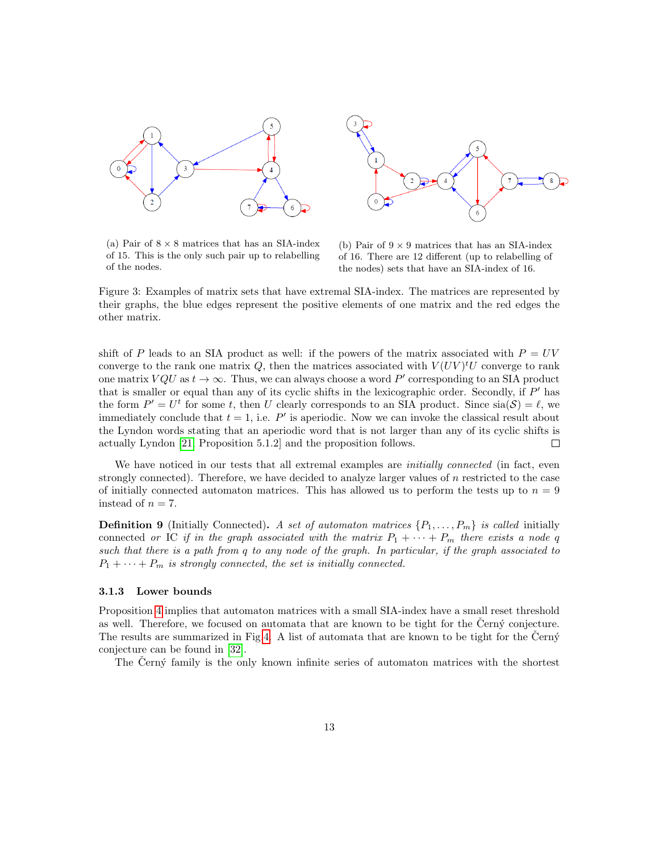<span id="page-12-0"></span>

(a) Pair of  $8 \times 8$  matrices that has an SIA-index of 15. This is the only such pair up to relabelling of the nodes.

(b) Pair of  $9 \times 9$  matrices that has an SIA-index of 16. There are 12 different (up to relabelling of the nodes) sets that have an SIA-index of 16.

Figure 3: Examples of matrix sets that have extremal SIA-index. The matrices are represented by their graphs, the blue edges represent the positive elements of one matrix and the red edges the other matrix.

shift of P leads to an SIA product as well: if the powers of the matrix associated with  $P = UV$ converge to the rank one matrix Q, then the matrices associated with  $V(UV)^tU$  converge to rank one matrix  $VQU$  as  $t \to \infty$ . Thus, we can always choose a word P' corresponding to an SIA product that is smaller or equal than any of its cyclic shifts in the lexicographic order. Secondly, if  $P'$  has the form  $P' = U^t$  for some t, then U clearly corresponds to an SIA product. Since  $sia(S) = \ell$ , we immediately conclude that  $t = 1$ , i.e. P' is aperiodic. Now we can invoke the classical result about the Lyndon words stating that an aperiodic word that is not larger than any of its cyclic shifts is actually Lyndon [\[21,](#page-17-12) Proposition 5.1.2] and the proposition follows.  $\Box$ 

We have noticed in our tests that all extremal examples are *initially connected* (in fact, even strongly connected). Therefore, we have decided to analyze larger values of  $n$  restricted to the case of initially connected automaton matrices. This has allowed us to perform the tests up to  $n = 9$ instead of  $n = 7$ .

<span id="page-12-1"></span>**Definition 9** (Initially Connected). A set of automaton matrices  $\{P_1, \ldots, P_m\}$  is called initially connected or IC if in the graph associated with the matrix  $P_1 + \cdots + P_m$  there exists a node q such that there is a path from q to any node of the graph. In particular, if the graph associated to  $P_1 + \cdots + P_m$  is strongly connected, the set is initially connected.

#### 3.1.3 Lower bounds

Proposition [4](#page-6-5) implies that automaton matrices with a small SIA-index have a small reset threshold as well. Therefore, we focused on automata that are known to be tight for the Cern $\acute{y}$  conjecture. The results are summarized in Fig[.4.](#page-13-0) A list of automata that are known to be tight for the Cern $\acute{y}$ conjecture can be found in [\[32\]](#page-18-1).

The Černý family is the only known infinite series of automaton matrices with the shortest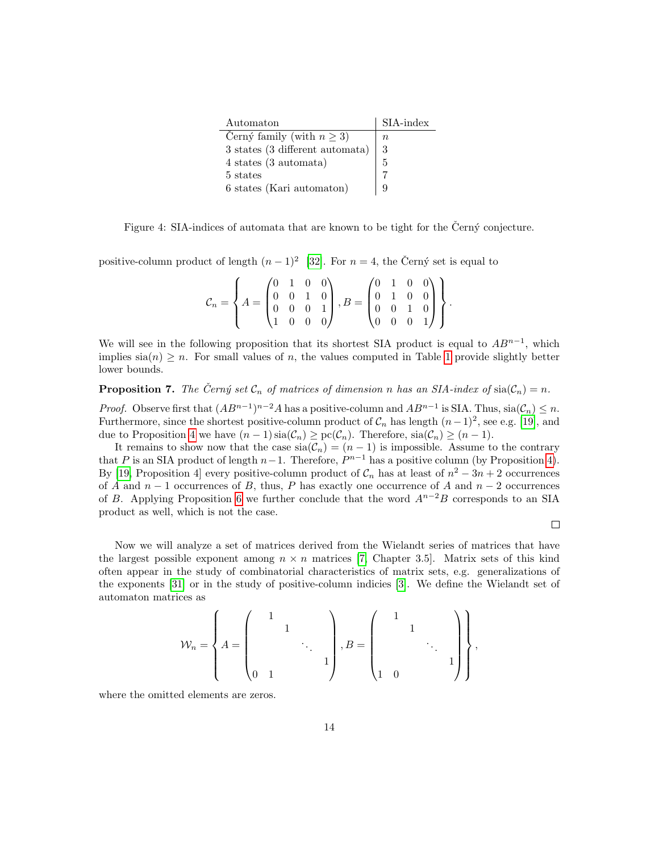<span id="page-13-0"></span>

| Automaton                       | SIA-index |
|---------------------------------|-----------|
| Černý family (with $n \geq 3$ ) | $\, n$    |
| 3 states (3 different automata) | 3         |
| $4$ states $(3$ automata)       | 5         |
| 5 states                        |           |
| 6 states (Kari automaton)       |           |

Figure 4: SIA-indices of automata that are known to be tight for the Černý conjecture.

positive-column product of length  $(n-1)^2$  [\[32\]](#page-18-1). For  $n=4$ , the Černý set is equal to

|  |  |  | $\mathcal{C}_n = \left\{ A = \begin{pmatrix} 0 & 1 & 0 & 0 \\ 0 & 0 & 1 & 0 \\ 0 & 0 & 0 & 1 \\ 1 & 0 & 0 & 0 \end{pmatrix}, B = \begin{pmatrix} 0 & 1 & 0 & 0 \\ 0 & 1 & 0 & 0 \\ 0 & 0 & 1 & 0 \\ 0 & 0 & 0 & 1 \end{pmatrix} \right\}.$ |  |  |  |
|--|--|--|--------------------------------------------------------------------------------------------------------------------------------------------------------------------------------------------------------------------------------------------|--|--|--|
|  |  |  |                                                                                                                                                                                                                                            |  |  |  |
|  |  |  |                                                                                                                                                                                                                                            |  |  |  |

We will see in the following proposition that its shortest SIA product is equal to  $AB^{n-1}$ , which implies  $\sin(n) \geq n$ . For small values of n, the values computed in Table [1](#page-11-0) provide slightly better lower bounds.

**Proposition 7.** The Černý set  $\mathcal{C}_n$  of matrices of dimension n has an SIA-index of sia( $\mathcal{C}_n$ ) = n.

*Proof.* Observe first that  $(AB^{n-1})^{n-2}A$  has a positive-column and  $AB^{n-1}$  is SIA. Thus,  $\operatorname{sin}(\mathcal{C}_n) \leq n$ . Furthermore, since the shortest positive-column product of  $\mathcal{C}_n$  has length  $(n-1)^2$ , see e.g. [\[19\]](#page-17-13), and due to Proposition [4](#page-6-5) we have  $(n-1)\operatorname{sia}(\mathcal{C}_n) \ge \operatorname{pc}(\mathcal{C}_n)$ . Therefore,  $\operatorname{sia}(\mathcal{C}_n) \ge (n-1)$ .

It remains to show now that the case  $\text{sia}(\mathcal{C}_n) = (n-1)$  is impossible. Assume to the contrary that P is an SIA product of length  $n-1$ . Therefore,  $P^{n-1}$  has a positive column (by Proposition [4\)](#page-6-5). By [\[19,](#page-17-13) Proposition 4] every positive-column product of  $\mathcal{C}_n$  has at least of  $n^2 - 3n + 2$  occurrences of A and  $n-1$  occurrences of B, thus, P has exactly one occurrence of A and  $n-2$  occurrences of B. Applying Proposition [6](#page-11-2) we further conclude that the word  $A^{n-2}B$  corresponds to an SIA product as well, which is not the case.

 $\Box$ 

Now we will analyze a set of matrices derived from the Wielandt series of matrices that have the largest possible exponent among  $n \times n$  matrices [\[7,](#page-16-4) Chapter 3.5]. Matrix sets of this kind often appear in the study of combinatorial characteristics of matrix sets, e.g. generalizations of the exponents [\[31\]](#page-18-4) or in the study of positive-column indicies [\[3\]](#page-16-10). We define the Wielandt set of automaton matrices as

$$
\mathcal{W}_n = \left\{ A = \begin{pmatrix} 1 & & & \\ & 1 & & \\ & & \ddots & \\ 0 & 1 & & \end{pmatrix}, B = \begin{pmatrix} 1 & & & \\ & 1 & & \\ & & \ddots & \\ 1 & 0 & & \end{pmatrix} \right\},
$$

where the omitted elements are zeros.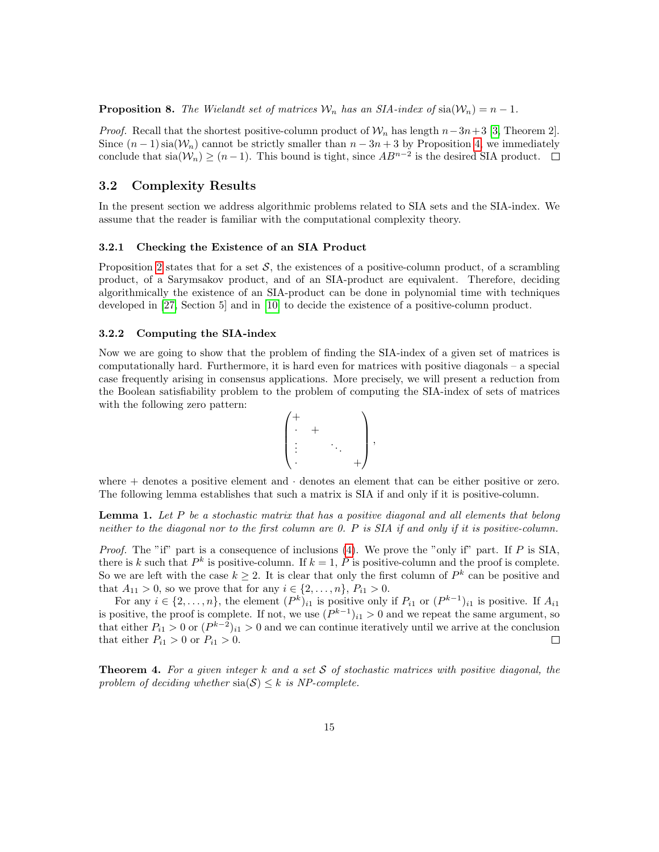**Proposition 8.** The Wielandt set of matrices  $\mathcal{W}_n$  has an SIA-index of  $\text{si}(W_n) = n - 1$ .

*Proof.* Recall that the shortest positive-column product of  $W_n$  has length  $n-3n+3$  [\[3,](#page-16-10) Theorem 2]. Since  $(n-1)$  sia $(\mathcal{W}_n)$  cannot be strictly smaller than  $n-3n+3$  by Proposition [4,](#page-6-5) we immediately conclude that  $\sin(\mathcal{W}_n) \ge (n-1)$ . This bound is tight, since  $AB^{n-2}$  is the desired SIA product.

### <span id="page-14-0"></span>3.2 Complexity Results

In the present section we address algorithmic problems related to SIA sets and the SIA-index. We assume that the reader is familiar with the computational complexity theory.

#### 3.2.1 Checking the Existence of an SIA Product

Proposition [2](#page-4-3) states that for a set  $S$ , the existences of a positive-column product, of a scrambling product, of a Sarymsakov product, and of an SIA-product are equivalent. Therefore, deciding algorithmically the existence of an SIA-product can be done in polynomial time with techniques developed in [\[27,](#page-17-6) Section 5] and in [\[10\]](#page-16-6) to decide the existence of a positive-column product.

#### 3.2.2 Computing the SIA-index

Now we are going to show that the problem of finding the SIA-index of a given set of matrices is computationally hard. Furthermore, it is hard even for matrices with positive diagonals – a special case frequently arising in consensus applications. More precisely, we will present a reduction from the Boolean satisfiability problem to the problem of computing the SIA-index of sets of matrices with the following zero pattern:



where  $+$  denotes a positive element and  $\cdot$  denotes an element that can be either positive or zero. The following lemma establishes that such a matrix is SIA if and only if it is positive-column.

<span id="page-14-1"></span>**Lemma 1.** Let  $P$  be a stochastic matrix that has a positive diagonal and all elements that belong neither to the diagonal nor to the first column are 0. P is SIA if and only if it is positive-column.

*Proof.* The "if" part is a consequence of inclusions [\(4\)](#page-4-1). We prove the "only if" part. If  $P$  is SIA, there is k such that  $P^k$  is positive-column. If  $k = 1, P$  is positive-column and the proof is complete. So we are left with the case  $k \geq 2$ . It is clear that only the first column of  $P^k$  can be positive and that  $A_{11} > 0$ , so we prove that for any  $i \in \{2, ..., n\}$ ,  $P_{i1} > 0$ .

For any  $i \in \{2,\ldots,n\}$ , the element  $(P^k)_{i1}$  is positive only if  $P_{i1}$  or  $(P^{k-1})_{i1}$  is positive. If  $A_{i1}$ is positive, the proof is complete. If not, we use  $(P^{k-1})_{i,j} > 0$  and we repeat the same argument, so that either  $P_{i1} > 0$  or  $(P^{k-2})_{i1} > 0$  and we can continue iteratively until we arrive at the conclusion that either  $P_{i1} > 0$  or  $P_{i1} > 0$ .  $\Box$ 

**Theorem 4.** For a given integer k and a set S of stochastic matrices with positive diagonal, the problem of deciding whether  $sia(S) \leq k$  is NP-complete.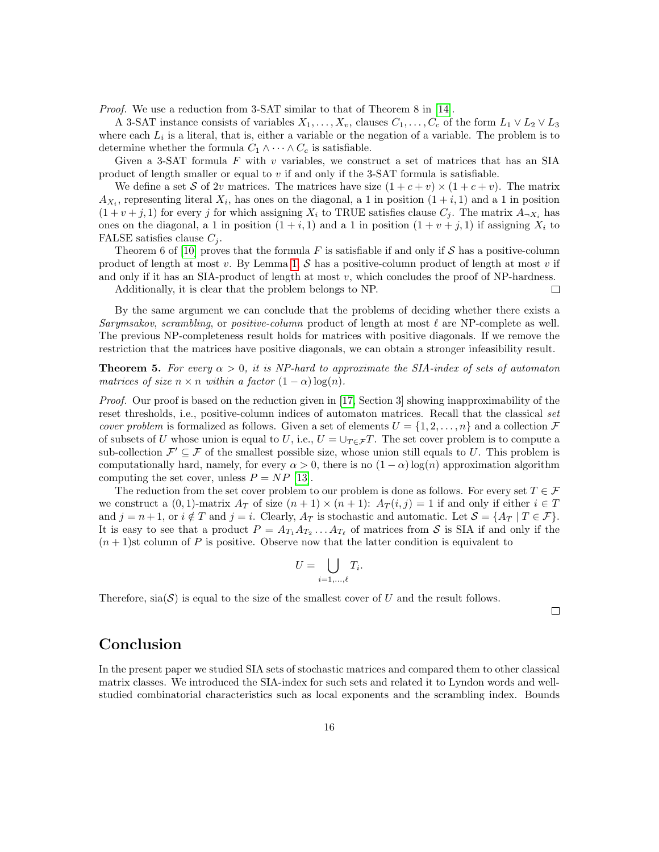*Proof.* We use a reduction from 3-SAT similar to that of Theorem 8 in [\[14\]](#page-17-14).

A 3-SAT instance consists of variables  $X_1, \ldots, X_v$ , clauses  $C_1, \ldots, C_c$  of the form  $L_1 \vee L_2 \vee L_3$ where each  $L_i$  is a literal, that is, either a variable or the negation of a variable. The problem is to determine whether the formula  $C_1 \wedge \cdots \wedge C_c$  is satisfiable.

Given a 3-SAT formula  $F$  with  $v$  variables, we construct a set of matrices that has an SIA product of length smaller or equal to v if and only if the 3-SAT formula is satisfiable.

We define a set S of 2v matrices. The matrices have size  $(1 + c + v) \times (1 + c + v)$ . The matrix  $A_{X_i}$ , representing literal  $X_i$ , has ones on the diagonal, a 1 in position  $(1+i,1)$  and a 1 in position  $(1 + v + j, 1)$  for every j for which assigning  $X_i$  to TRUE satisfies clause  $C_j$ . The matrix  $A_{\neg X_i}$  has ones on the diagonal, a 1 in position  $(1 + i, 1)$  and a 1 in position  $(1 + v + j, 1)$  if assigning  $X_i$  to FALSE satisfies clause  $C_i$ .

Theorem 6 of [\[10\]](#page-16-6) proves that the formula F is satisfiable if and only if S has a positive-column product of length at most v. By Lemma [1,](#page-14-1) S has a positive-column product of length at most v if and only if it has an SIA-product of length at most  $v$ , which concludes the proof of NP-hardness. Additionally, it is clear that the problem belongs to NP.  $\Box$ 

By the same argument we can conclude that the problems of deciding whether there exists a Sarymsakov, scrambling, or positive-column product of length at most  $\ell$  are NP-complete as well. The previous NP-completeness result holds for matrices with positive diagonals. If we remove the restriction that the matrices have positive diagonals, we can obtain a stronger infeasibility result.

**Theorem 5.** For every  $\alpha > 0$ , it is NP-hard to approximate the SIA-index of sets of automaton matrices of size  $n \times n$  within a factor  $(1 - \alpha) \log(n)$ .

Proof. Our proof is based on the reduction given in [\[17,](#page-17-15) Section 3] showing inapproximability of the reset thresholds, i.e., positive-column indices of automaton matrices. Recall that the classical set *cover problem* is formalized as follows. Given a set of elements  $U = \{1, 2, ..., n\}$  and a collection  $\mathcal F$ of subsets of U whose union is equal to U, i.e.,  $U = \bigcup_{T \in \mathcal{F}} T$ . The set cover problem is to compute a sub-collection  $\mathcal{F}' \subseteq \mathcal{F}$  of the smallest possible size, whose union still equals to U. This problem is computationally hard, namely, for every  $\alpha > 0$ , there is no  $(1 - \alpha) \log(n)$  approximation algorithm computing the set cover, unless  $P = NP$  [\[13\]](#page-17-16).

The reduction from the set cover problem to our problem is done as follows. For every set  $T \in \mathcal{F}$ we construct a  $(0,1)$ -matrix  $A_T$  of size  $(n+1) \times (n+1)$ :  $A_T(i,j) = 1$  if and only if either  $i \in T$ and  $j = n + 1$ , or  $i \notin T$  and  $j = i$ . Clearly,  $A_T$  is stochastic and automatic. Let  $\mathcal{S} = \{A_T \mid T \in \mathcal{F}\}\.$ It is easy to see that a product  $P = A_{T_1} A_{T_2} \dots A_{T_\ell}$  of matrices from S is SIA if and only if the  $(n+1)$ st column of P is positive. Observe now that the latter condition is equivalent to

$$
U=\bigcup_{i=1,\ldots,\ell}T_i.
$$

Therefore,  $\text{sin}(\mathcal{S})$  is equal to the size of the smallest cover of U and the result follows.

 $\Box$ 

# Conclusion

In the present paper we studied SIA sets of stochastic matrices and compared them to other classical matrix classes. We introduced the SIA-index for such sets and related it to Lyndon words and wellstudied combinatorial characteristics such as local exponents and the scrambling index. Bounds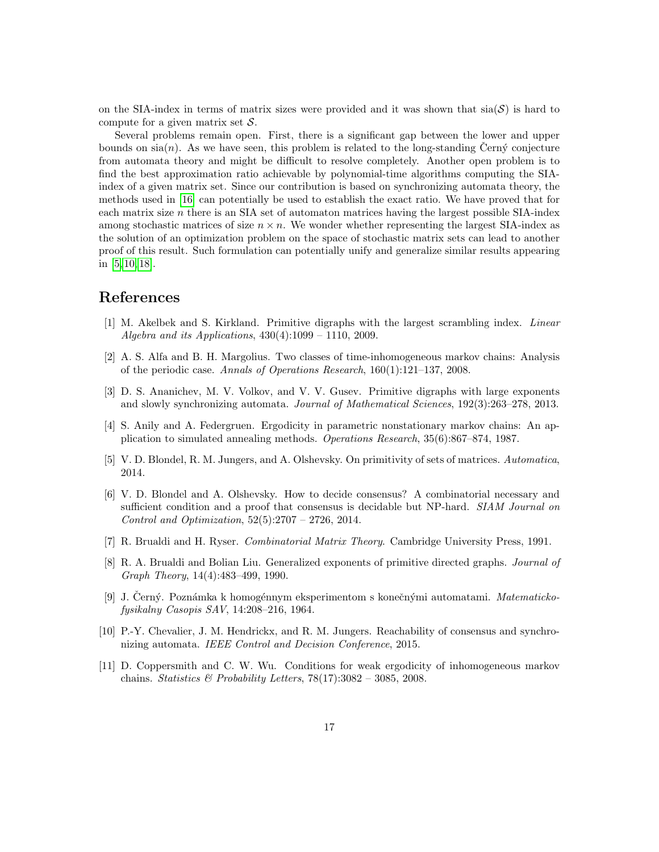on the SIA-index in terms of matrix sizes were provided and it was shown that  $sia(S)$  is hard to compute for a given matrix set  $S$ .

Several problems remain open. First, there is a significant gap between the lower and upper bounds on  $sia(n)$ . As we have seen, this problem is related to the long-standing Cern $\circ$  conjecture from automata theory and might be difficult to resolve completely. Another open problem is to find the best approximation ratio achievable by polynomial-time algorithms computing the SIAindex of a given matrix set. Since our contribution is based on synchronizing automata theory, the methods used in [\[16\]](#page-17-17) can potentially be used to establish the exact ratio. We have proved that for each matrix size  $n$  there is an SIA set of automaton matrices having the largest possible SIA-index among stochastic matrices of size  $n \times n$ . We wonder whether representing the largest SIA-index as the solution of an optimization problem on the space of stochastic matrix sets can lead to another proof of this result. Such formulation can potentially unify and generalize similar results appearing in [\[5,](#page-16-9) [10,](#page-16-6) [18\]](#page-17-5).

## References

- <span id="page-16-7"></span>[1] M. Akelbek and S. Kirkland. Primitive digraphs with the largest scrambling index. Linear Algebra and its Applications,  $430(4):1099 - 1110$ ,  $2009$ .
- <span id="page-16-2"></span>[2] A. S. Alfa and B. H. Margolius. Two classes of time-inhomogeneous markov chains: Analysis of the periodic case. Annals of Operations Research, 160(1):121–137, 2008.
- <span id="page-16-10"></span>[3] D. S. Ananichev, M. V. Volkov, and V. V. Gusev. Primitive digraphs with large exponents and slowly synchronizing automata. Journal of Mathematical Sciences, 192(3):263–278, 2013.
- <span id="page-16-1"></span>[4] S. Anily and A. Federgruen. Ergodicity in parametric nonstationary markov chains: An application to simulated annealing methods. Operations Research, 35(6):867–874, 1987.
- <span id="page-16-9"></span>[5] V. D. Blondel, R. M. Jungers, and A. Olshevsky. On primitivity of sets of matrices. Automatica, 2014.
- <span id="page-16-0"></span>[6] V. D. Blondel and A. Olshevsky. How to decide consensus? A combinatorial necessary and sufficient condition and a proof that consensus is decidable but NP-hard. SIAM Journal on Control and Optimization, 52(5):2707 – 2726, 2014.
- <span id="page-16-4"></span>[7] R. Brualdi and H. Ryser. Combinatorial Matrix Theory. Cambridge University Press, 1991.
- <span id="page-16-8"></span>[8] R. A. Brualdi and Bolian Liu. Generalized exponents of primitive directed graphs. Journal of Graph Theory, 14(4):483–499, 1990.
- <span id="page-16-5"></span>[9] J. Černý. Poznámka k homogénnym eksperimentom s konečnými automatami. Matematickofysikalny Casopis SAV, 14:208–216, 1964.
- <span id="page-16-6"></span>[10] P.-Y. Chevalier, J. M. Hendrickx, and R. M. Jungers. Reachability of consensus and synchronizing automata. IEEE Control and Decision Conference, 2015.
- <span id="page-16-3"></span>[11] D. Coppersmith and C. W. Wu. Conditions for weak ergodicity of inhomogeneous markov chains. Statistics & Probability Letters,  $78(17):3082 - 3085$ , 2008.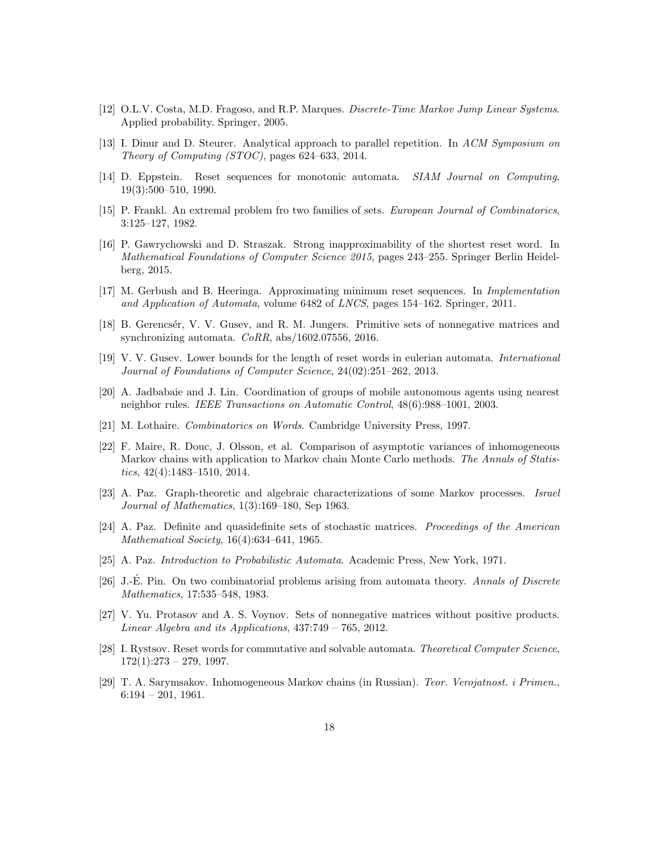- <span id="page-17-4"></span>[12] O.L.V. Costa, M.D. Fragoso, and R.P. Marques. Discrete-Time Markov Jump Linear Systems. Applied probability. Springer, 2005.
- <span id="page-17-16"></span>[13] I. Dinur and D. Steurer. Analytical approach to parallel repetition. In ACM Symposium on Theory of Computing (STOC), pages 624–633, 2014.
- <span id="page-17-14"></span>[14] D. Eppstein. Reset sequences for monotonic automata. SIAM Journal on Computing, 19(3):500–510, 1990.
- <span id="page-17-9"></span>[15] P. Frankl. An extremal problem fro two families of sets. European Journal of Combinatorics, 3:125–127, 1982.
- <span id="page-17-17"></span>[16] P. Gawrychowski and D. Straszak. Strong inapproximability of the shortest reset word. In Mathematical Foundations of Computer Science 2015, pages 243–255. Springer Berlin Heidelberg, 2015.
- <span id="page-17-15"></span>[17] M. Gerbush and B. Heeringa. Approximating minimum reset sequences. In Implementation and Application of Automata, volume 6482 of LNCS, pages 154–162. Springer, 2011.
- <span id="page-17-5"></span>[18] B. Gerencsér, V. V. Gusev, and R. M. Jungers. Primitive sets of nonnegative matrices and synchronizing automata. CoRR, abs/1602.07556, 2016.
- <span id="page-17-13"></span>[19] V. V. Gusev. Lower bounds for the length of reset words in eulerian automata. International Journal of Foundations of Computer Science, 24(02):251–262, 2013.
- <span id="page-17-1"></span>[20] A. Jadbabaie and J. Lin. Coordination of groups of mobile autonomous agents using nearest neighbor rules. IEEE Transactions on Automatic Control, 48(6):988–1001, 2003.
- <span id="page-17-12"></span>[21] M. Lothaire. Combinatorics on Words. Cambridge University Press, 1997.
- <span id="page-17-2"></span>[22] F. Maire, R. Douc, J. Olsson, et al. Comparison of asymptotic variances of inhomogeneous Markov chains with application to Markov chain Monte Carlo methods. The Annals of Statistics, 42(4):1483–1510, 2014.
- <span id="page-17-0"></span>[23] A. Paz. Graph-theoretic and algebraic characterizations of some Markov processes. Israel Journal of Mathematics, 1(3):169–180, Sep 1963.
- <span id="page-17-3"></span>[24] A. Paz. Definite and quasidefinite sets of stochastic matrices. Proceedings of the American Mathematical Society, 16(4):634–641, 1965.
- <span id="page-17-7"></span>[25] A. Paz. Introduction to Probabilistic Automata. Academic Press, New York, 1971.
- <span id="page-17-10"></span>[26] J.-E. Pin. On two combinatorial problems arising from automata theory. Annals of Discrete Mathematics, 17:535–548, 1983.
- <span id="page-17-6"></span>[27] V. Yu. Protasov and A. S. Voynov. Sets of nonnegative matrices without positive products. Linear Algebra and its Applications, 437:749 – 765, 2012.
- <span id="page-17-11"></span>[28] I. Rystsov. Reset words for commutative and solvable automata. Theoretical Computer Science,  $172(1):273 - 279, 1997.$
- <span id="page-17-8"></span>[29] T. A. Sarymsakov. Inhomogeneous Markov chains (in Russian). Teor. Verojatnost. i Primen.,  $6:194 - 201, 1961.$